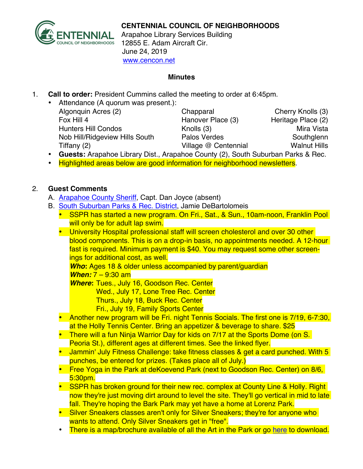

Arapahoe Library Services Building 12855 E. Adam Aircraft Cir. June 24, 2019 www.cencon.net

## **Minutes**

- 1. **Call to order:** President Cummins called the meeting to order at 6:45pm.
	- Attendance (A quorum was present.): Algonquin Acres (2) Chapparal Cherry Knolls (3) Fox Hill 4 **Hanover Place (3)** Heritage Place (2) Hunters Hill Condos **Knolls** (3) Mira Vista Nob Hill/Ridgeview Hills South Palos Verdes Nob Hill/Ridgeview Hills Southglenn Tiffany (2) **Village @ Centennial** Walnut Hills
	- **Guests:** Arapahoe Library Dist., Arapahoe County (2), South Suburban Parks & Rec.
	- Highlighted areas below are good information for neighborhood newsletters.

## 2. **Guest Comments**

- A. [Arapahoe County Sheriff](http://www.arapahoesheriff.org), Capt. Dan Joyce (absent)
- B. [South Suburban Parks & Rec.](http://www.SSPR.org) District, Jamie DeBartolomeis
	- SSPR has started a new program. On Fri., Sat., & Sun., 10am-noon, Franklin Pool will only be for adult lap swim.
	- University Hospital professional staff will screen cholesterol and over 30 other blood components. This is on a drop-in basis, no appointments needed. A 12-hour fast is required. Minimum payment is \$40. You may request some other screenings for additional cost, as well.

*Who***:** Ages 18 & older unless accompanied by parent/guardian

## *When:* 7 – 9:30 am

*Where***:** Tues., July 16, Goodson Rec. Center

Wed., July 17, Lone Tree Rec. Center

Thurs., July 18, Buck Rec. Center

Fri., July 19, Family Sports Center

- Another new program will be Fri. night Tennis Socials. The first one is 7/19, 6-7:30, at the Holly Tennis Center. Bring an appetizer & beverage to share. \$25
- There will a fun Ninja Warrior Day for kids on 7/17 at the Sports Dome (on S. Peoria St.), different ages at different times. See the linked flyer.
- Jammin' July Fitness Challenge: take fitness classes & get a card punched. With 5 punches, be entered for prizes. (Takes place all of July.)
- Free Yoga in the Park at deKoevend Park (next to Goodson Rec. Center) on 8/6, 5:30pm.
- SSPR has broken ground for their new rec. complex at County Line & Holly. Right now they're just moving dirt around to level the site. They'll go vertical in mid to late fall. They're hoping the Bark Park may yet have a home at Lorenz Park.
- Silver Sneakers classes aren't only for Silver Sneakers; they're for anyone who wants to attend. Only Silver Sneakers get in "free".
- There is a map/brochure available of all the Art in the Park or go [here](https://www.ssprd.org/Portals/0/Parks/ArtInParksMap-GIS-071311.pdf) to download.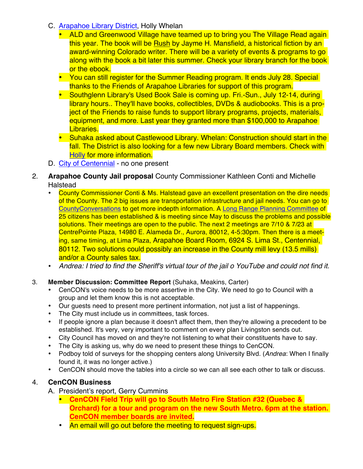- C. [Arapahoe Library District,](http://www.arapahoelibraries.org/) Holly Whelan
	- ALD and Greenwood Village have teamed up to bring you The Village Read again this year. The book will be Rush by Jayme H. Mansfield, a historical fiction by an award-winning Colorado writer. There will be a variety of events & programs to go along with the book a bit later this summer. Check your library branch for the book or the ebook.
	- You can still register for the Summer Reading program. It ends July 28. Special thanks to the Friends of Arapahoe Libraries for support of this program.
	- Southglenn Library's Used Book Sale is coming up. Fri.-Sun., July 12-14, during library hours.. They'll have books, collectibles, DVDs & audiobooks. This is a project of the Friends to raise funds to support library programs, projects, materials, equipment, and more. Last year they granted more than \$100,000 to Arapahoe Libraries.
	- Suhaka asked about Castlewood Library. Whelan: Construction should start in the fall. The District is also looking for a few new Library Board members. Check with [Holly](mailto:hwhelan@ald.lib.co.us) for more information.
- D. [City of Centennial](http://www.centennialco.gov) no one present
- 2. **Arapahoe County Jail proposal** County Commissioner Kathleen Conti and Michelle Halstead
	- County Commissioner Conti & Ms. Halstead gave an excellent presentation on the dire needs of the County. The 2 big issues are transportation infrastructure and jail needs. You can go to [CountyConversations](http://www.arapahoegov.com/2026/County-Conversations) to get more indepth information. A [Long Range Planning Committee](http://www.arapahoegov.com/2050/Long-Range-Planning-Committee) of 25 citizens has been established & is meeting since May to discuss the problems and possible solutions. Their meetings are open to the public. The next 2 meetings are 7/10 & 7/23 at CentrePointe Plaza, 14980 E. Alameda Dr., Aurora, 80012, 4-5:30pm. Then there is a meeting, same timing, at Lima Plaza, Arapahoe Board Room, 6924 S. Lima St., Centennial, 80112. Two solutions could possibly an increase in the County mill levy (13.5 mills) and/or a County sales tax.
	- *Andrea: I tried to find the Sheriff's virtual tour of the jail o YouTube and could not find it.*
- 3. **Member Discussion: Committee Report** (Suhaka, Meakins, Carter)
	- CenCON's voice needs to be more assertive in the City. We need to go to Council with a group and let them know this is not acceptable.
	- Our guests need to present more pertinent information, not just a list of happenings.
	- The City must include us in committees, task forces.
	- If people ignore a plan because it doesn't affect them, then they're allowing a precedent to be established. It's very, very important to comment on every plan Livingston sends out.
	- City Council has moved on and they're not listening to what their constituents have to say.
	- The City is asking us, why do we need to present these things to CenCON.
	- Podboy told of surveys for the shopping centers along University Blvd. (*Andrea*: When I finally found it, it was no longer active.)
	- CenCON should move the tables into a circle so we can all see each other to talk or discuss.

## 4. **CenCON Business**

- A. President's report, Gerry Cummins
	- **CenCON Field Trip will go to South Metro Fire Station #32 (Quebec & Orchard) for a tour and program on the new South Metro. 6pm at the station. CenCON member boards are invited.**
	- An email will go out before the meeting to request sign-ups.